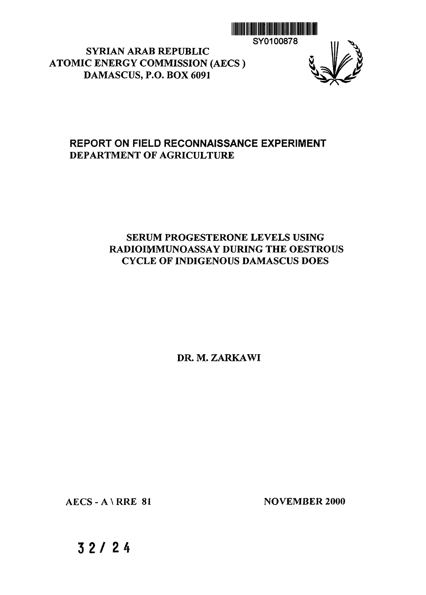

SYRIAN ARAB REPUBLIC ATOMIC ENERGY COMMISSION (AECS )

DAMASCUS, P.O. BOX 6091



### **REPORT ON FIELD RECONNAISSANCE EXPERIMENT DEPARTMENT OF AGRICULTURE**

### SERUM PROGESTERONE LEVELS USING RADIOIMMUNOASSAY DURING THE OESTROUS CYCLE OF INDIGENOUS DAMASCUS DOES

DR. M. ZARKAWI

AECS - A \ RRE 81 NOVEMBER 2000

**3 2 / 2 4**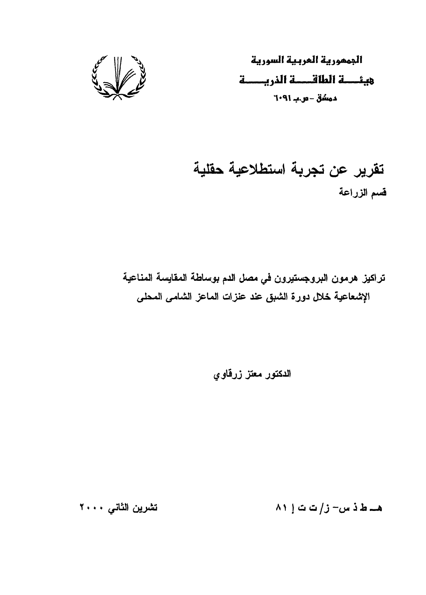

الجممورية العربية السورية دمشق - ص.ب ٢٠٩١

# تقرير عن تجربة استطلاعية حقلية فسم الزراعة

تراكيز هرمون البروجستيرون في مصل الدم بوساطة المقايسة المناعية الإشعاعية خلال دورة الشبق عند عنزات الماعز الشامى المحلى

الدكتور معتز زرقاوى

تشرين الثاني ٢٠٠٠

 $\wedge$ ۱ هــ ط ذ س- ز/ت ت ا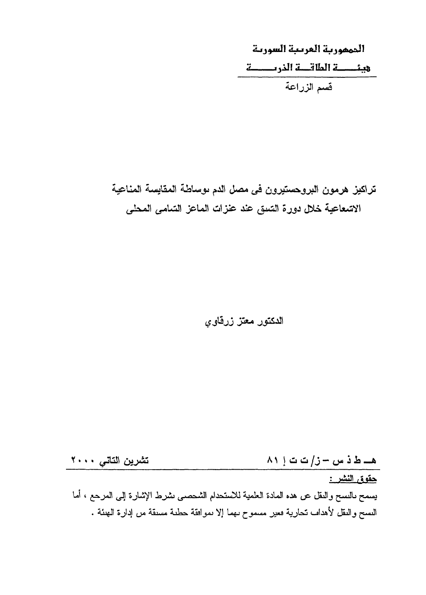المممورية العريبة السورية قسم الزراعة

# تراكيز هرمون البروحستيرون في مصل الدم ىوساطة المقايسة المناعية الاشعاعية خلال دورة الشدق عند عنزات الماعز السّامى المحلى

الدكتور معتز زرقاوي

تشرين التاتس ٢٠٠٠ هــ ط ذ س - ز/ت ت إ ٨١ حقوق النشر :

يسمح بالنسح والنقل عن هده المادة العلمية للاستحدام الشحصـي نشرط الإشارة إلـي المعرحـع ، أما النسخ والنقل لأهداف تحارية فعير مسموح نهما إلا نموافقة حطنة مسنقة من إدارة الـهنئة .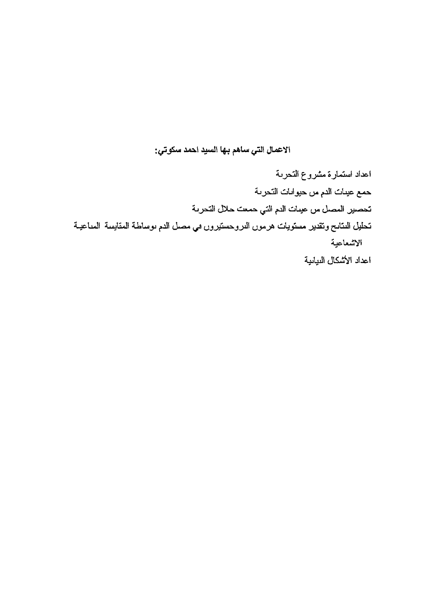ألاعمال التي ساهم بها السيد احمد سكوتي:

اعداد استمارة مشروع التحرىة حمع عيدات الدم من حيوانات التحرنة تحصير المصل من عينات الدم التي حمعت حلال التحرية تحليل المتابح وتقدير مستويات هرموں الدروحستيروں في مصل الدم نوساطة المقايسة المداعيــة الاشعاعية اعداد الأشكال النبانية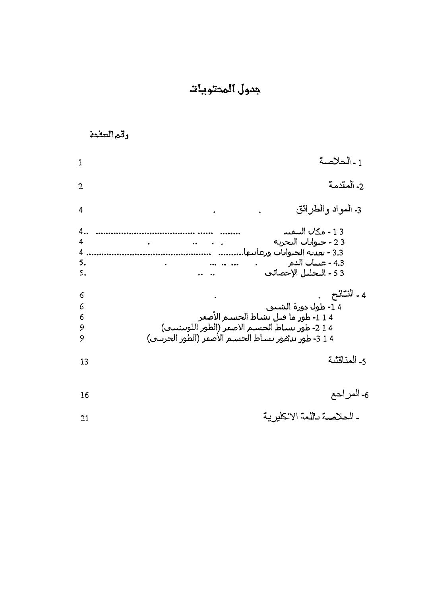# جدول المحتويات

## رقم الصفحة

| 1                         | 1 - الحلاصة                                                                                                                                                                         |
|---------------------------|-------------------------------------------------------------------------------------------------------------------------------------------------------------------------------------|
| $\overline{2}$            | 2- المقدمة                                                                                                                                                                          |
| 4                         | 3- المواد والطرانق                                                                                                                                                                  |
| 4.,<br>4<br>4<br>5.<br>5. | 13 - مكان البيقيد<br>23 - حيوانات التحرية<br>3.3 - تعديه الجنوانات ورعايتها.<br>4.3 - عينات الدم<br>3 5 - التحليل الإحصائب                                                          |
| 6<br>6<br>6<br>9<br>9     | 4 - النتائح<br>1 4- طول دورة الشيبي<br>1 1 - طور ما قتل تشاط الحسيم الأصغر<br>1 2 - طور بساط الحسـم الاصفر (الطور اللوبيئييي)<br>4 1 3- طور بدهور بساط الحسم الأصفر (الطور الحريني) |
| 13                        | 5. المناقثية                                                                                                                                                                        |
| 16                        | 6ـ المراحع                                                                                                                                                                          |
| 21                        | - الحلاصة باللعة الاكليرية                                                                                                                                                          |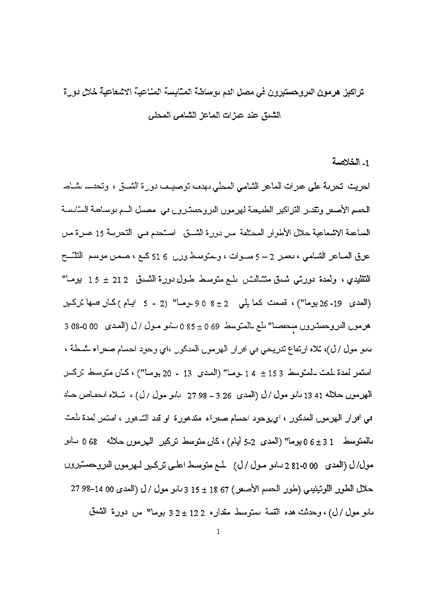# تراكيز هرمون الدروحستيرون في مصل الدم يوساطة المتايسة المناعية الاشعاعية خلال دورة الشبق عند عبزات المباعز الشامي المحلي

1- الخلاصة

احريت تحرية على عبرات الماعر الشامي المحلي بهدم توصيب دورة الشيق ، وتحدسه بشاط المعسم الأصعر وتقدير التراكير الطبيعية لهرمون التروحسترون في مصيل السم توساطة السايسة الصاعبة الاشعاعية حلال الأطوار المحتلفة مـن دورة الشـــق الســّحدم بــي التحريــة 15 عــرة مـن عرق الصاعر الشامبي ، يعمـر 2 – 5 مسـوَّات ، وحقوسط وزن 6 51 كسع ، صـمـن موسـم التلتُّسـج التَّقْلَيْدِي ، ولعدة دورتمي شَدق متَّـالِّــَــْن بلــع متَوسِط طــول دورة الشَّــدق 212 ± 15 يومـاً" (العدي 19- 26 يوما") ، قسمت كما يلي 2 ± 8 0 9 ـومـا" (2 - 5 ايـام )كـال فسها تركـير هرمول النروحسترون متحفضا" بلغ بالمتوسط 69 ± 85 0 سابو منول / ل (المندي -00 0-08 3 0 يابو مول / ل)، للاه ارتفاع تدريجي في افرار الهرمون المدكور ،اي وحود احسام صعراء ستنطة ، استمر لمدة للعت بالمتوسط 153 ± 14 يوميا" (المدى 13 - 20 يوميا") ، كيان متوسط تركيل المهرموں حاللہ 41 13 بانو مول /ل (العدی 26 3 ــ 98 27 بانو مول /ل) ، تُسلاه انحفاض حاد هي افرار الهرمون المدكور ، اي وحود احسام صفراء متدهورة او قد الشهور ، استمر لمدة تلعت بْالْمِتَّوْسِطْ 1 3 ± 6 0 يوما" (الْمُدَّى 2-5 أُلِّيام) ، كَانْ مِتَّوْسِطْ تَرْكَيْنِ ۚ السرمون حلاله 68 0 سأنق مول/ل (العدي ٥٥ 0-81 2 سامو مـول /ل) لمـم متوسـط اعلـي تركـير لـهرمون الدروحســَيروں حلال الطور اللوتينيسي (طور الحسم الأصـُّص 67 18 ± 15 3 داس مول / ل (الممدى 00 14-98 27 ىابو مول / ل) ، وحدثت هده القمة يمتوسط مقداره 2 12 ± 2 3 يوما" من دورة الشيق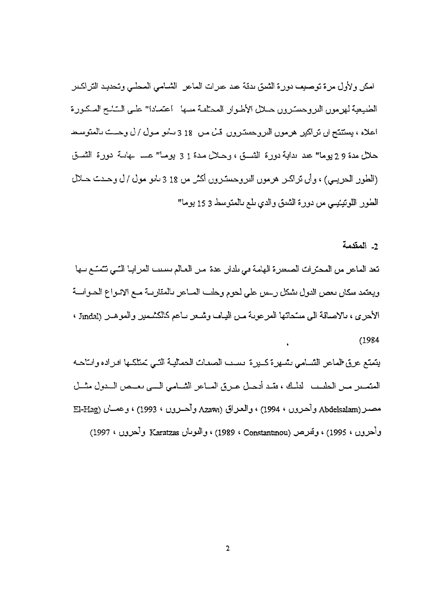امكن ولأول مرة توصيف دورة الشيق بدقة عيد عبرات الماعن الشبامي المحلبي وتحديد التراكيين الطنيعية لهرمون الدروحسَّـرون حــلال الأطـوار المحتلفة مسها - اعتمـادا" علــي السَّــْــج المـكـورة اعلاه ، يستتتح ان تراكير هرمون الدروحسترون قـــٰ مــن 18 3 سانو مــول / ل وحــــــــَ بالمتوسـط حلال مدة 9 2 يوما" عدد نداية دورة الشَّـــق ، وحــلال مـدة 1 3 يومـا" عـــــ ــهانــة دورة الشـــق (الطور الحريمي) ، وأن تراكير هرمون التروجسترون أكثر من 18 3 يانو مول / ل وحدت حلال الطور اللوتينيسي من دورة الشدق والدي بلع بالمتوسط 3 15 يوما"

2- المقدمة

تعد الماعر من المحترات الصعفرة الهامة في بلدان عدة من العالم بسبب المرابيا التي تتمتع سها ويعتمد سكان بعص الدول بشكل رسس على لجوم وحلب المساعر بالمقاربية ميع الإنبواع الجبوانسة الأحرى، ، بالاصافة الى مسحاتها المرعوبة مـن اليـاب وشـعر بـاعم كالكشـمير والموهـير (Jindal ،  $(1984)$ 

يتمتع عرق الماعر الشسامي بشهرة كسيرة يسبب الصعات الحماليية التبى تمتلكها اقراده وابتاحيه مصـر (Abdelsalam وأحرون ، 1994) ، والعـراق (Azawı وأحــرون ، 1993) ، وعمــان (El-Hag وأحرون ، 1995) ، وتَعرص (Constantinou ، 1989) ، والدويان Karatzas وأحرون ، 1997)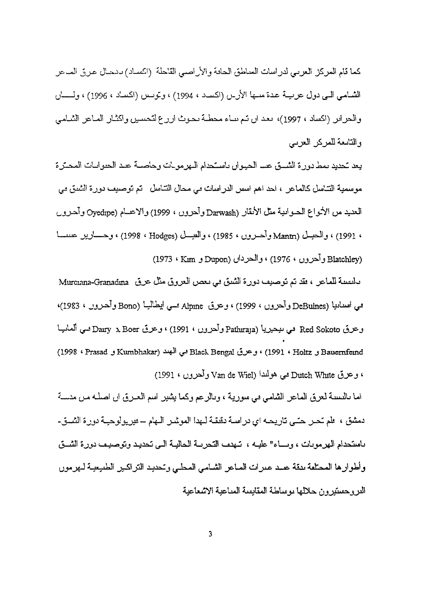كما قام ، 1994) ، وتوسس (اكساد ، 1996) ، و 1997)، يعد ان تم يباء محطـة يحوث ارز ع لتحسين واكثـار المـاعر والتابعة للمركز العربي

يعد تحديد بمط دورة الشسق عسا الحيوان باستحدام البهرمويات وحاصبة عبد الحيوانيات المحترة موسمية التـّاسل كالماعر ، احد اهم اسس الدراسات مي محال التـّاسل تم توصيف دورة الشدق مي العديد من الأتواع الحسوانية مثل الأنقار (Darwash وآحرون ، 1999) والاعسام (Oyedipe*) و*أحرو*ن* ، 1991) ، والحسِـل (Mantr وأحــروں ، 1985) ، والصـــل (Hodges) (1998 ، 1998) وحـــــارير عســــا (Blatchley وأحرون ، 1976) ، والحردان (Dupon و Hatchley)

مالتقلية للماعل ، فقد تم توصيف دورة الشيق في يعص العروق مثل عرق Murciana-Granadina نيا (DeBuines وأحروں ، 1999) ، وعرق Alpine سمي ايطاليــا (Bono وأحـروں ، 1983)، ق Red Sokoto في نيحيريا (Pathiraja وأحرون ، 1991) ، وعرق Dairy x Boer فسي ألمانيـا (1998 < Prasad *j* Kumbhakar) - ^ *^* Black Bengal 6j& *j* \* (1991 « Holtz j Baucrnfcind ، وعرق Dutch White محي هولندا (Van de Wiel وأحرون ، 1991)

اما باليسبة لعربيّ الماعر الشَّامي في سورية ، وبالرَّعم وكما يشير اسم العـربيّ ان اصلـه مـن منسـة دمشق ، علم تحــر حتــي تاريحــه اي دراســة دقيقـة لــهدا الموشـر الــهام ــــ فيريولوحيــة دور ة الشـــوّ ــ باستحدام الهرمويات ، ويساء" عليه ، تنهدب التحريبة المحاليبة التي تحديد وتوصيف دورة الشبق وأطوارها المحتلفة بدقة عبيد عبرات المباعر الشبامي المحلبي وتحديد التراكير الطبيعية لبهرمون الدروحسنيرون حلالها بوساطة المقايسة المباعية الاشعاعية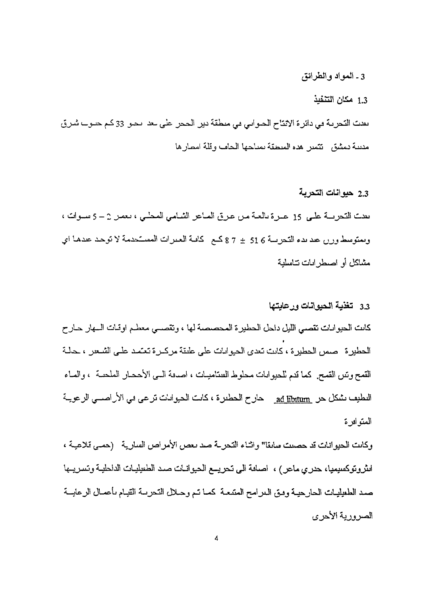3 ـ المواد والطرانق

### 1.3 مكان التنفيذ

بعدت التحريبة في دائر ة الانتاج الحيواني في منطقة دير الحجر. على بعد انحيق 33 كم حيوب شرق مدينة دمشق فتمين هده المنطقة بمباحها الحاف وقلة امصارها

#### 2.3 حيوانات التحرية

بعدت التحريسة علـي 15 عـبرة بالعبة مـن عـرق المباعر الشـامي المحلّـي ، بعمـن 2 – 5 سبوات ، ويمتوسط وزرن عند بدء التحريسة 6 51 ± 7 8 كتم - كافية العينرات المستخدمة لا توحد عندها أي مشاكل أو اصبطر ابات تتاسلية

#### 3.3 تغذية المحيوانات ورعايتها

كانت الحيوانات تقصبي الليل داحل الحطيرة المحصصة لها ، وتقصبي معطم اوقات السهار حارح الحطير ة - صمن الحطير ة ، كانت تعدي الحيوانات على عليقة مركبر ة تعتمد على الشبعير ، حالية القمح وتس القمح. كما قدم للحيو المات محلوط العنتاميسات ، اصدقة السي الأحصار الملحنــة ، والمساء اللطيف نشكل حل ad libitum حارج الحطنرة ، كانت الحيوانات ترعى في الأراصــي الرعويـة المعتو ادر ة

وكانت الحيوانات قد حصيت مبايقا" واشاء التحرية صد بعض الأمراص السارية - (حمي قلاعية ، الثروتوكسيميا، حدري ماعر ) ، اصافة الى تحريــع الحيوانــات صـد الطِّيليات الداحليـة وتسريــها صد الطعيليـات الحارحيـة ومـق الـمرامح المسّعـة كمـا تـم وحـلال التحريــة القيـام بأعمـال الرعايــة الصرورية الأحرى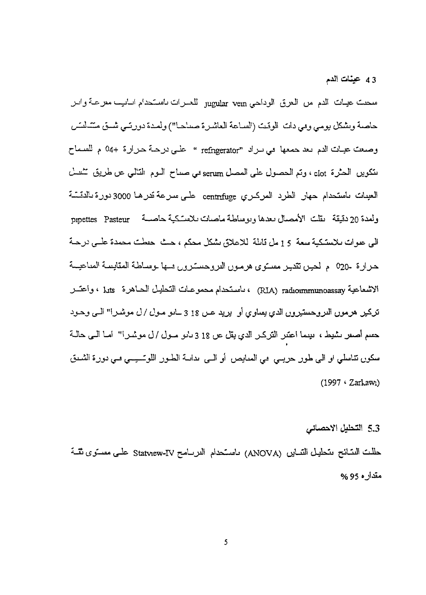43 عينات الدم

سحنت عيبات الدم من العرق الوداحي jugular vem للعسرات باستحدام ابـانيب معرعـة وابير حاصة ويشكل بومي وهي دات الوقت (الساعة العاشرة صدحا") ولمدة دورتمي شمق متشلسَن وصعت عيات الدم يعد حمعها في براد "refngerator " على درجة حرارة +04 م للسماح تتكوين الحثرة ciot ، وتم الحصول على المصل serum هي صداح النوم التالمي عن طريق تثنيث العينات باستحدام حهار الطرد المركبري centrifuge على سرعة تدرهـا 3000 دورة بالدتمـــة ولعدة 20 دقيقة نقلت الأمصال بعدها وبوساطة ماصات بلاستكية حاصسة pipettes Pasteur اللي علوات للاستكية سعة 15 مل قابلة للاعلاق بشكل محكم ، حيث حفظت محمدة علمي درجية حرارة -020 م لحين تقدير معسَّوي هرمون الدروحسترون فسها بوساطة المقايسة المداعيسة الاشعاعية RIA) radioimmunoassay) ، باستحدام محموعات التحليل الحياهرة kits ، واعتسر حسم أصعر سنميط، ميمما اعتنر التركير الدي يقل عن 18 3 بابو مبول /ل موشير!" امنا السي حالية سكوں تناسلي او الى طور حريسي مي الممايص أو السي بدانــة الطـور اللوتـــيـــي مــي دورة الشــدق (1997 · Zarkawı)

5.3 التحليل الاحصائى

حلَّلت النسَّائح ىتحلَّيل التساير (ANOVA) باستحدام الدرسامح Statview-IV علــي معسـتوى ثقَّــة مقدار ه 95 %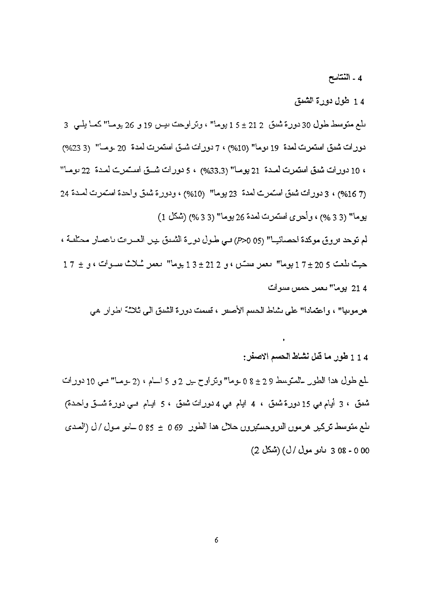4 - النتاسح

14 طول دورة الشيق

ىلىع متوسط طول 30 دورة شيق 21 ± 5 ± 1 بوما" ، وتراوحت بيس 19 و 26 يومـا" كمـا يلـي 3 دورات شيق استمرت لمدة 19 يوما" (10%) ، 7 دورات شيق استمرت لمدة 20 يومــا" (23%) ، 10 دورات شيق استمرت لمدة 21 يوما" (33.3%) ، 5 دورات شيق استمرت لمدة 22 يوما" (7 16%) ، 3 دورات شيق استمرت لمدة 23 يوما" (10%) ، ودورة شيق واحدة استمرت لمدة 24 بوما" (3 3 %) ، وأحرى استمرت لمدة 26 بوما" (3 3 %) (شكل 1)

لم توحد فروق موكدة احصائيـا" (95 0<7) في طول دورة الشيق بين العبرات باعصار محتلفة ،  $17 \pm 20$  حيث طعت 5 20 ± 7 1 يوما" بعص مستان ، و 2 21 ± 3 1 يوما" بعص ئىلائى مسـوات ، و  $7 \pm 7$ 21 4 يوما" يعمل حمص مسوات

هرموبيا" ، واعتمادا" على بشاط الحييم الأصبور ، قسمت دورة الشيق الى ثلاثة الهوار ً هي

1 1 1 طور ما قبل نشاط الحسم الاصفر :

لمع طول هذا الطور للمتوسط 9 ± 2 0 عوما" وتراوح ـيل 2 و 5 الــام ، (2 عومـا" مـبي 10 دور ات شَعْقِ ، 3 أَيَام فِي 15 دُورة شَعْقَ ، 4 أَيَام فِي 4 دُوراتَ شَعْقَ ، 5 أَيَـام فِـي دُورة شَـــقَ وأحدة) ىلع متوسط تركير هرموں الدروحستيروں حلال هدا الطور 69 ± 85 ل-امو مـول / ل (الصدى 00 - 08 3 3 مايو مولى /ل) (شكل 2)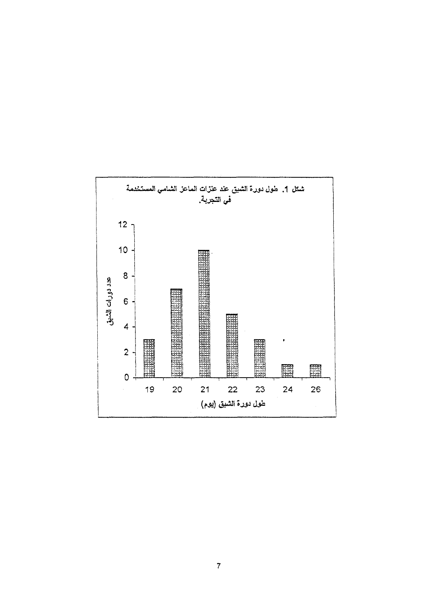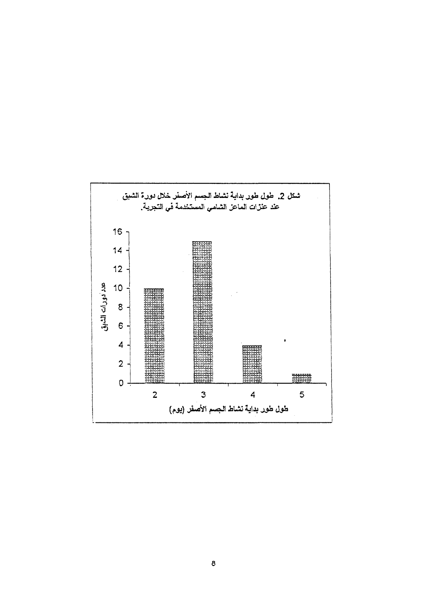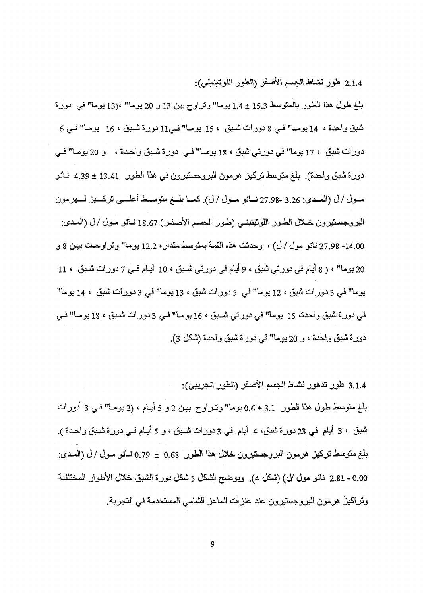2.1.4 طور نشاط الجسم الأصفر (الطور اللوتينيني):

بلغ طول هذا الطور بالمتوسط 15.3 ± 1.4 يوما" وتراوح بين 13 و 20 يوما" ،(13 يوما" في دورة شُبقَ واحدة ، 14 يومـا" فـي 8 دورات شَبقَ ، 15 يومـا" فـي11 دورة شُـبقَ ، 16 يومـا" فـي 6 دورات شبق ، 17 يوما" في دورتي شبق ، 18 يومــا" فـي أدورة شـبق واحـدة ، و 20 يومـا" فـي دورة شبق واحدة). بلغ متوسط تركيز هرمون البروجستيرون في هذا الطور 13.41 ± 4.39 نــانو مسول / ل (المسدي: 3.26 -27.98 نسانو مسول / ل). كمسا بلسغ متوسسط أعلسي تركسيز لسهرمون البروجستيرون خــلال الطـور اللوتينينــي (طـور الجسم الأصـفـر ) 18.67 نــانو مـول /ل (المـدي: 14.00- 27.98 نانو مول /ل) ، وحدثت هذه القمة بمتوسط مقدار ه 12.2 يوما" وتر اوحــت بيـن 8 و 20 يوما" ، ( 8 أيام في دورتي شيق ، 9 أيام في دورتي شيق ، 10 أيـام فـي 7 دورات شيق ، 11 بوما" في 3 دورات شُبق ، 12 بوما" في 5 دورات شُبق ، 13 بوما" في 3 دورات شُبق ، 14 بوما" في دورة شبق واحدة، 15 يوما" في دورتي شـبق ، 16 يومــا" فـي 3 دورات شـبق ، 18 يومــا" فـي دورة شبق واحدة ، و 20 يوما" في دورة شبق واحدة (شكل 3).

3.1.4 طور تدهور نشاط الجسم الأصفر (الطور الجريبي): بلغ متوسط طول هذا الطور 3.1 ± 0.6 بوما" وتـراوح بيـن 2 و 5 أيـام ، (2 بومـا" فـي 3 ْدورات شُبقَ ، 3 أَيْـلم فـي 23 دورة شُبقَ، 4 أَيـلم فـي 3 دورات شـبق ، و 5 أَيـلم فـي دورة شُـبق واحـدة ). بلغ متوسط تركيز هرمون البروجستيرون خلال هذا الطور 0.68 ± 0.79 نــانـو مـول / ل (الصدى: 0.00 - 2.81 نانو مول لل) (شكل 4). ويوضح الشكل 5 شكل دورة الشبق خلال الأطوار المختلفة وتراكيز هرمون البروجستيرون عند عنزات الماعز الشامى المستخدمة في التجربة.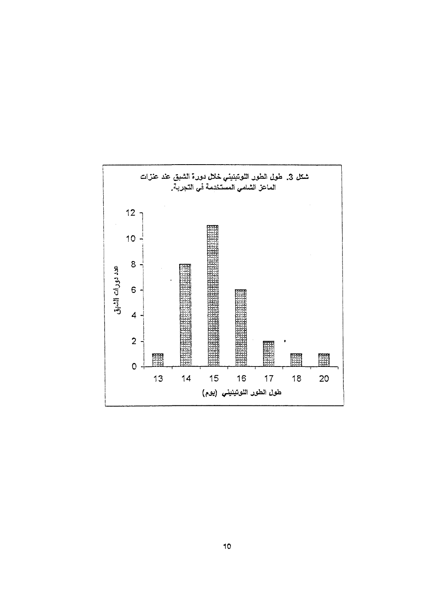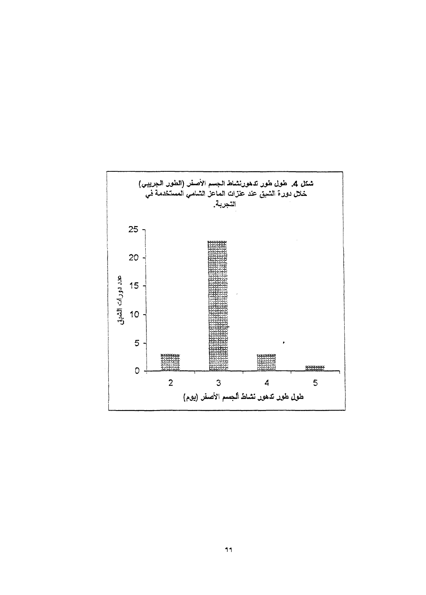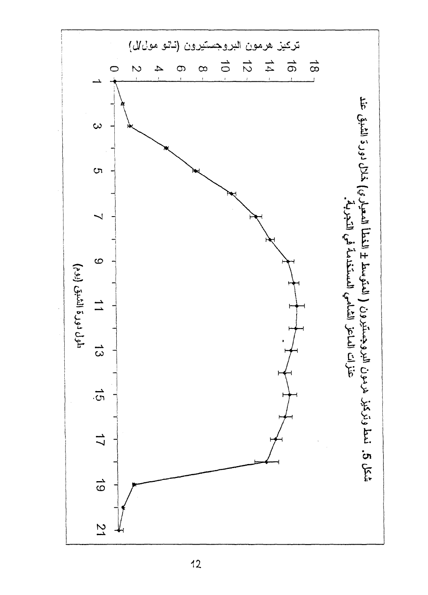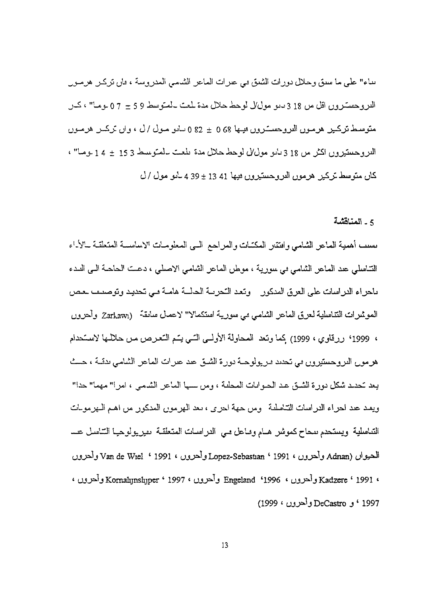بناء" علي ما سبق وحلال دورات الشبق في عبرات الماعر الشامي المدروسة ، فإن تركير هرسول الدروحستروں اقل من 18 3 ديو موليل لوحط حلال مدة لمت بالمتوسط 5 9 ± 7 0 بوما" ، كــن متوسط تركيز هرمون الدروجسترون ليها 0 68 ± 82 0 ساس مول /ل ، وان تركيز هرمون وحستيروں اكثر مں 18 3 *نانو مول⁄ل لوحط حلال مدة تلعت سلمتوننن*ط 15 5 ± 4 1 *نوم*ا" ، كان متوسط تركير هرموں الدروحستيروں ہيھا 13 13 ± 39 مادو مول / ل

#### 5 - المناقشة

بسبب أهمية الماعر الشامي وافتتار المكتبات والمراجع السي المعلومات الاساسية المتعلقية بالإياء التناسلي عد الماعر الشامي في سورية ، موطن الماعر الشامي ياحراء الدراسات على العرق المدكور وتعد التحرية الحالية هامية في تحديد وتوصيف بعض الموثيرات التناسلية لعرق الماعر الشامبي <sub>مى</sub> سورية استكمالا" 'لاعمال سابقة (Zarkawı وأحرون ، 1999' ررقاوي ، 1999) كما ونند المحاولة الأولسي النسي يُسم السّعـرص مـــل حـلالــها هرمول الدروحستيرون في تحديد فيريولوجية دورة الشيق عند عبرات الماعر الشامي بدقية ، حيث يعد كحديد شكل دور ة الشيق عبد الجيوانات المجلية ، ومن سبها الماعز الشيمي ، امر ا" مهما" جدا" ويعـد عـد احراء الدراسات التـّاسلمة ومن حـهة احرى ، معد الـهرمون المدكور من اهـم الـهرمولات التناسلية ويستحدم ببحاح كموشر هبام وماعل مبى الدراسات المتعلقية يميريولوجيا الشاسل عب de Wiel \* 1991 ' *OJJ^J* Lopez-Sebastian ' 1991 ' *OJJ^J* Adnan) Komalijnslijper <sup>c</sup> 1997 < UJJ=^J Engeland '1996 \* u*JJ=^J* Kadzere ' 1991 « (1999 « UJJ^ J DeCastro *j* \* 1997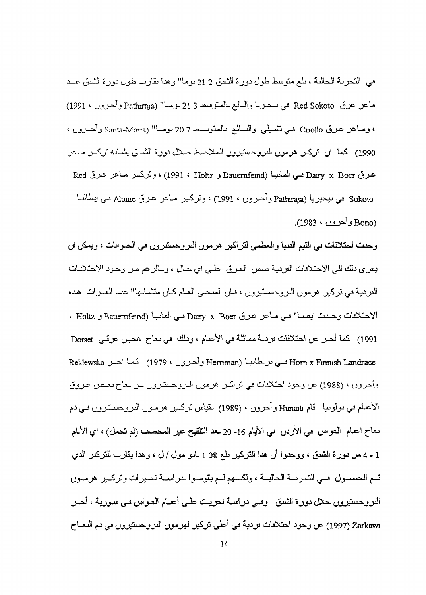في التحرية الحالية ، بلم متوسط طول دورة الشيق 21 2 يوما" وهذا يقارب طول دورة لشيق عبيد Red Sokoto في سحـربـا والسالع بالمتوسط 3 21 بومبا" (Pathiraja وآخـرون ، 1991) *<•*<sup>L</sup> JJ-^ J Santa-Mam) " —\*JJ 20 7 ja-^jl^b ^JLJlj yl ^ ^-s Cnollo (j 1990) كما ا<mark>ں</mark> تركىر هرموں الدروحس<sub>ني</sub>روں الملاحىط حـلال دورۃ الثمــق يشـانـه تركــر مــحر Red i>& \_>&^> J-^wVj ' (1991 ' Holtz j Bauemfeind) LuUll ^JS Dairy x Boer LL>& Sokoto في سيحيريا (Pathiraja وأحـرون ، 1991) ، وتركــير مــاعر عـرق Alpine فــي ايطـالسـا .(Bono) وأحرون ، 1983).

وحدت احتلافات في القيم الدنيا والعطمي لتراكير (هرمون النزوجستنزون في الحبوانات ، ويمكن ان يعر ي دلك الى الاحتلالات الفردية صمل العربيّ علمي اي حال ، وسالر عم مـل وحـود الاحتلالـات العردية في تركير هرمون النروحســـَيرون ، فــان المنحــي العــام كــان متــْــاــها" عنــــ العــرات هـده نست اليصما" فسي مباعر عربيّ Dairy x Boer فسي الصانيبا (Bauernfeind و Holtz ، <sup>1</sup> 1991) كما أحــر عن احتلافات فردــة مماثلة في الأعنام ، وذلك في نـعاح هحــِـن عرقـي Dorset Reklcwska *j— ^* ^-\*^ (1979 ' OJ^)^\*-' *j* Hcrnman) *^^•^-j<sup>J</sup> ^-^* Horn x Finnish Landrace وأُحرون ، (1988) عن رحود احتلالات في تراكين هرمون البروجيشرون عن عا يا قام Hunait وأحروں ، (1989) ىقياس ئركىي ىـعاح اعدام الـعواس مـي الأردل مـي الأيـام 16- 20 ـعد الـتلقيح عير الممحمـي (لم تـحمل) ، اي الألـام 1 ـ 4 من دورة الشيق ، ووحدوا أن هذا التركير بلع 08 1 بابو مول /ل ، وهذا يقارب للتركين الدي تسم الحصسول على التحريسة الحاليسة ، ولكسهم لسم يقومسوا بدراسسة تعسيرات وتركسين هرمسون الدروحستيروں حلال دورة الشدق - وہمي دراسة احريت علمي أعدام العبواس ملي سورية ، أحسر Zarkawı (1997) عن وحود احتلامات مردية مي أعلى تركير لهرمون الدروحستيرون مي دم المعــاح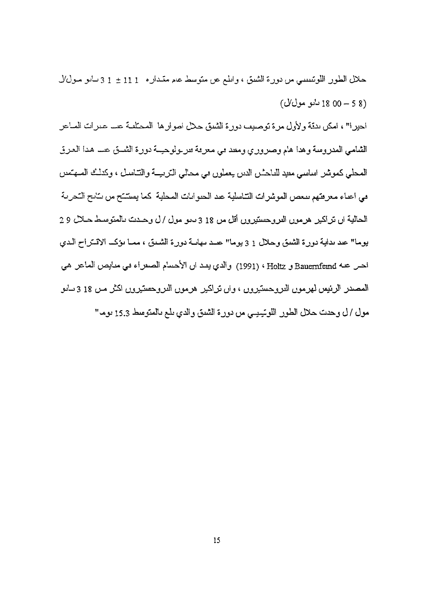حلال الطور اللوتنييسي من دورة الشيق ، واللم عن متوسط عام متبداره 111 ± 13 د-ايو مـول/ل  $(\mathcal{Y}$ را 18 00 - 18 دانو مول $($ احير!" ، امكن بدئة ولأول مرة توصيف دورة الشيق حلال اصوارها المحتلفة عسا عبرات المباعر الشامي المدروسة وهدا هام وصروري ومعد مي معرمة مربولوحيــة دورة الشــق عسـ هدا العرق المعطي كموشر اساسي معيد للباحثين الدين يعملون مي محالي التربيبة والتناسل ، وكدلت الصهتمين في اعداء معرفتهم بيعص الموشرات التناسلية عند الحنوانات المحلية كما يفتتتح من بنائج التحرية الحالية ال تراكير هرموں الدروحستيروں اقل من 18 3 ديو مول / ل وحــدت بالعتوسـط حــلال 2 2 يوما" عند نداية دورة الشيق وحلال 1 3 يوما" عند بهانية دورة الشيق ، مميا يؤكب الاقتراح البدي احس عنه Bauernfeind و Holtz ، (1991) والذي يقد ان الأحسام الصفراء في منايص الماعر هي المصدر الرئيس لهرموں الدروحستيروں ، واں تراكير هرموں الدروحستيروں اكثر مـن 18 3 سانو مول / ل وحدت حلال الطور اللوتيبيي من دورة الشيق والدي بلع بالمتوسط 15.3 يوم"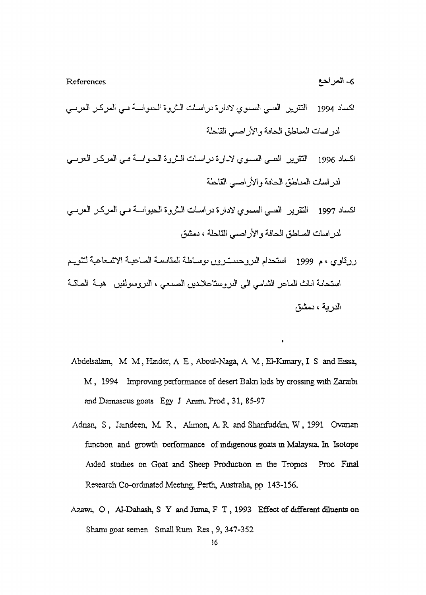References *£f\*\j\*&* -6

- اكساد 1994 التترير الصبي السنوي لادارة دراسات الشروة الحنواسة في العركز العرسي لدر اسات المساطق الحافة والأر اصبي القاحلة
- اكساد 1996 التقرير الصبي السبوي لابارة دراسات البثروة الحيواسية في العركز العرسي لدراسات المماطق الحافة والأراصمي القاحلة
- اكساد 1997 التقرير -العسى السموي لادارة دراسات السروة الحيواسة سي العركب العرسي لدراسات المساطق الحافة والأراصم القاحلة ، دمشق
- ررقاوي ، م 1999 استحدام النزوحسسترون بوساطة المقايسة المساعية الكلمية لتتوجم استحامة اللث الماعر الشامي الىي الدروستاعلادين الصمحي ، الدروسولفين "هيبة الصاقبة الدربية ، دمشق
- Abdelsalam, M M, Haider, A E , Aboul-Naga, A M., El-Kunary, I S and Eissa, M, 1994 Improving performance of desert Bakn kids by crossing with Zaraibi and Damascus goats Egy J Anun, Prod , 31, 85-97
- Adnan, S., Jaindeen, M. R., Ahmon, A. R. and Sharifuddin, W., 1991 Ovanan function and growth performance of indigenous goats in Malaysia, In Isotope Aided studies on Goat and Sheep Production in the Tropics Proc Final Research Co-ordinated Meeting, Perth, Australia, pp 143-156.
- Azawi, O, Al-Dahash, S Y and Juma, F T, 1993 Effect of different diluents on Shami goat semen Small Rum Res, 9, 347-352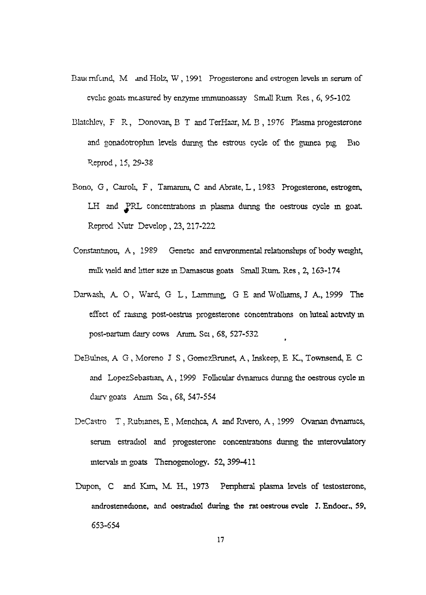- Bauc rnfund, M and Holz, W, 1991 Progesterone and estrogen levels in serum of cyclic goats measured by enzyme immunoassay Small Rum Res , 6, 95-102
- Blatchlcy, F R, Donovan, B T and TerHaar, M. B , 1976 Plasma progesterone and gonadotrophm levels during the estrous cycle of the guinea pig Bio Reprod, 15, 29-38
- Bono, G , Carroll, F , Tamarum, C and Abrate, L , 1983 Progesterone, estrogen, LH and PRL concentrations in plasma during the oestrous cycle in goat. Reprod Nutr Develop , 23, 217-222
- Constantinou, A, 1989 Genetic and environmental relationships of body weight, milk Meld and litter size in Damascus goats Small Rum. Res, 2, 163-174
- Darwash, A. O, Ward, G. L, Lamming, G. E and Wolliams, J. A., 1999 The effect of raising post-oestrus progesterone concentrations on luteal activity in post-Dartum dairy cows Arum. Sci, 68, 527-532
- DeBulnes, A G , Moreno J S , GomezBrunet, A, Inskeep, E K., Townsend, E C and LopezSebastian, A, 1999 Follicular dynamics during the oestrous cycle in dairv goats Arum Sci, 68, 547-554
- DeCastro T, Rubianes, E, Menchca, A and Rivero, A, 1999 Ovarian dynamics, serum estradiol and progesterone concentrations during the interovulatory intervals in goats Thcnogenology. 52,399-411
- Dupon, C and Kim, M. H., 1973 Penpheral plasma levels of testosterone, androstenedione, and oestradiol during the rat oestrous evele J. Endocr., 59, 653-654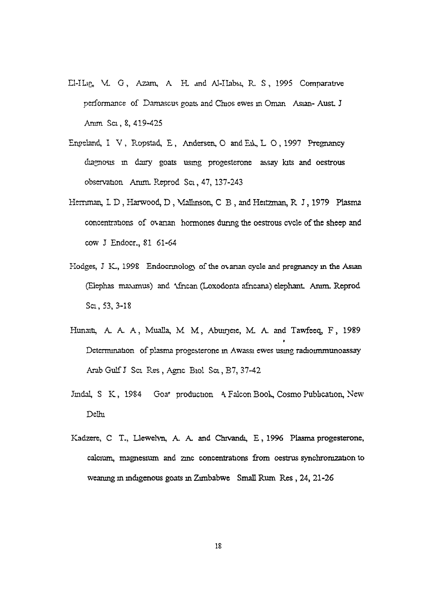- EI-ILIQ, VL G, Azam, A H. and Al-IIabsi, R S, 1995 Comparative performance of Damascus goats and Chios ewes in Oman Asian- AusL J Anim Sci, 8, 419-425
- Engeland, I V, Ropstad, E, Andersen, O and Eik, L O, 1997 Pregnancy diagnosis in dairy goats using progesterone assay kits and oestrous observation. Arum. Reprod Sci, 47, 137-243
- Hernman, L D , Harwood, D , Malhnson, C B , and Heitzman, R J, 1979 Plasma concentrations of o\anan hormones during the oestrous cycle of the sheep and cow J Endocr., 81 61-64
- Hodges, J K., 1998 Endocrinology of the ovarian cycle and pregnancy in the Asian (Elephas maxjmus) and \ihcan (Loxodonta afncana) elephant Anim. Reprod Sci, 53, 3-18
- Hunaiti, A. A. A, Mualla, M M, Abuirjeie, M. A. and Tawfeeq, F, 1989 Determination of plasma progesterone in Awassi ewes using radioimmunoassay Arab Gulf J Sci Res , Agnc Biol Sci, B7, 37-42
- Jindal, S K, 1984 Goa' production *\* Falcon Book, Cosmo Pubbcation, New Delhi
- Kadzere, C T., Llewelyn, A. A. and Chrvandi, E, 1996 Plasma progesterone, calcium, magnesium and zinc concentrations from oestrus synchronization to weaning in indigenous goats in Zimbabwe Small Rum Res , 24, 21-26

18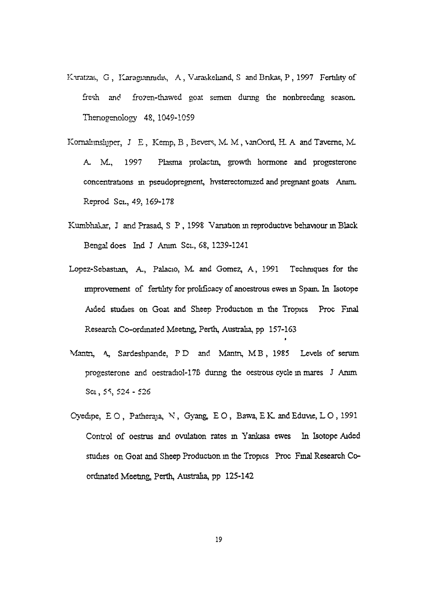- Kuratzas, G, Karagiannidis, A, Varaskeliand, S and Brikas, P, 1997 Fertility of fresh and frozen-thawed goat semen during the nonbreeding season. Thenogenology 48, 1049-1059
- Kornalijnslijper, J. E., Kemp, B., Bevers, M. M., vanOord, H. A and Taverne, M. A. M., 1997 Plasma prolactin, growth hormone and progesterone concentrations in pseudoprcgnent, hysterectomized and pregnant goats Anim. Reprod Sci., 49, 169-178
- Kumbhakar, J and Prasad, S P, 1998 Variation in reproductive behaviour in Black Bengal does Ind J Anim Sci., 68, 1239-1241
- Lopez-Sebastian, A., Palacio, M. and Gomez, A., 1991 Techniques for the improvement of fertility for prolificacy of anoestrous ewes in Spain. In Isotope Aided studies on Goat and Sheep Production m the Tropics Proc Final Research Co-ordinated Meeting, Perth, Australia, pp 157-163
- Mantn, A, Sardeshpande, PD and Mantn, MB, 1985 Levels of serum progesterone and oestradiol-17B dunng the oestrous cycle in mares J Arum Sci, 55, 524 - 526
- Oyedipe,  $E \circ P$ , Patheraja, N, Gyang, EO, Bawa, EK. and Eduvie, LO, 1991 Control of oestrus and ovulation rates in Yankasa ewes In Isotope Aided studies on Goat and Sheep Production in the Tropics Proc Final Research Coordinated Meeting, Perth, Australia, pp 125-142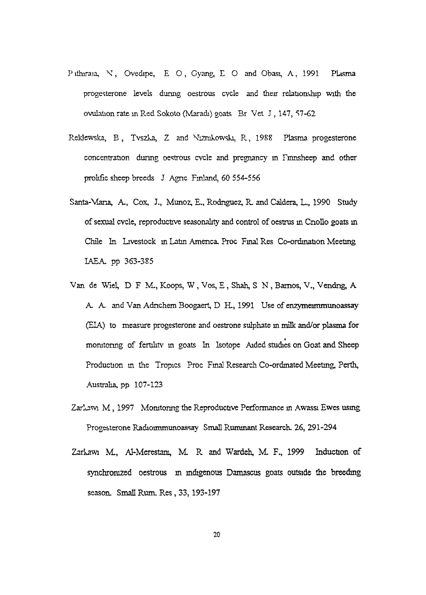- Puthiraia, N, Ovedipe, E O, Gyang, E O and Obasi, A, 1991 Plasma progesterone levels during oestrous cvcle and their relationship with the ovulauon rate in Red Sokoto (Maradi) goats Br Vet J , 147, S7-62
- Reklewska, B, Tvszka, Z and Niznikowski, R, 1988 Plasma progesterone concentration dunng oestrous cvcle and pregnancy in rmnsheep and other prolific sheep breeds J Agnc Finland, 60 554-556
- Santa-Mana, A., Cox, J., Munoz, E., Rodriguez, R. and Caldera, L., 1990 Study of sexual cvcle, reproductive seasonality and control of oestrus in Cnollo goats in Chile In Livestock in Latin America, Proc Final Res Co-ordination Meeting IAEA, pp 363-385
- Van de Wiel, D F M., Koops, W, Vos, E, Shah, S N , Bamos, V., Vendng, A A. A. and Van Adnchem Boogaert, D. H., 1991 Use of enzymeimmunoassay (EIA) to measure progesterone and oestrone sulphate in milk and/or plasma for monitoring of fertility in goats In Isotope Aided studies on Goat and Sheep Production in the Tropics Proc Final Research Co-ordinated Meeting, Perth, Australia, pp 107-123
- Zarlawi M, 1997 Monitoring the Reproductive Performance in Awassi Ewes using Progesterone Radioimmunoassay Small Ruminant Research. 26, 291-294
- Zarkawi M., Al-Merestani, M. R and Warden, M. F., 1999 Induction of synchronized oestrous in indigenous Damascus goats outside the breeding season. Small Rum. Res, 33, 193-197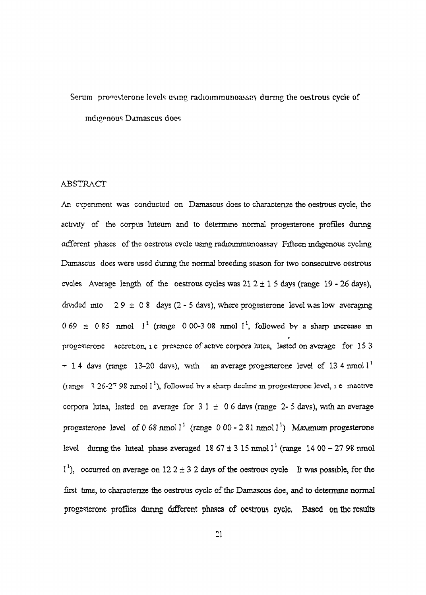## Serum progesterone levels using radioimmunoassay during the oestrous cycle of indigenous Damascus does

#### ABSTRACT

An experiment was conducted on Damascus does to characterize the oestrous cycle, the activity of the corpus luteum and to determine normal progesterone profiles dunng different phases of the oestrous cycle using radioimmunoassay Fifteen indigenous cycling Damascus does were used during the normal breeding season for two consecutive oestrous cycles Average length of the oestrous cycles was  $21.2 \pm 1.5$  days (range 19 - 26 days), divided into  $29 \pm 0.8$  days (2 - 5 days), where progesterone level was low averaging  $0.69 \pm 0.85$  nmol  $1^1$  (range 0.00-3.08 nmol  $1^1$ , followed by a sharp increase in progesterone secretion, I e presence of active corpora lutea, lasted on average for 15 3  $-14$  davs (range 13-20 davs), with an average progesterone level of 13 4 nmol  $1^1$ (tange 3 26-2<sup>7</sup> 98 nmol 1<sup>1</sup>), followed by a sharp decline in progesterone level, i e mactive corpora lutea, lasted on average for  $31 \pm 06$  days (range 2-5 days), with an average progesterone level of 0 68 nmol l<sup>1</sup> (range 0 00 - 2 81 nmol l<sup>1</sup>) Maximum progesterone level dunng the luteal phase averaged  $18\,67 \pm 3\,15$  nmol  $1^1$  (range  $14\,00 - 27\,98$  nmol  $1<sup>1</sup>$ ), occurred on average on 12 2  $\pm$  3 2 days of the oestrous cycle It was possible, for the first time, to characterize the oestrous cycle of the Damascus doe, and to determine normal progesterone profiles during different phases of oestrous cycle. Based on the results